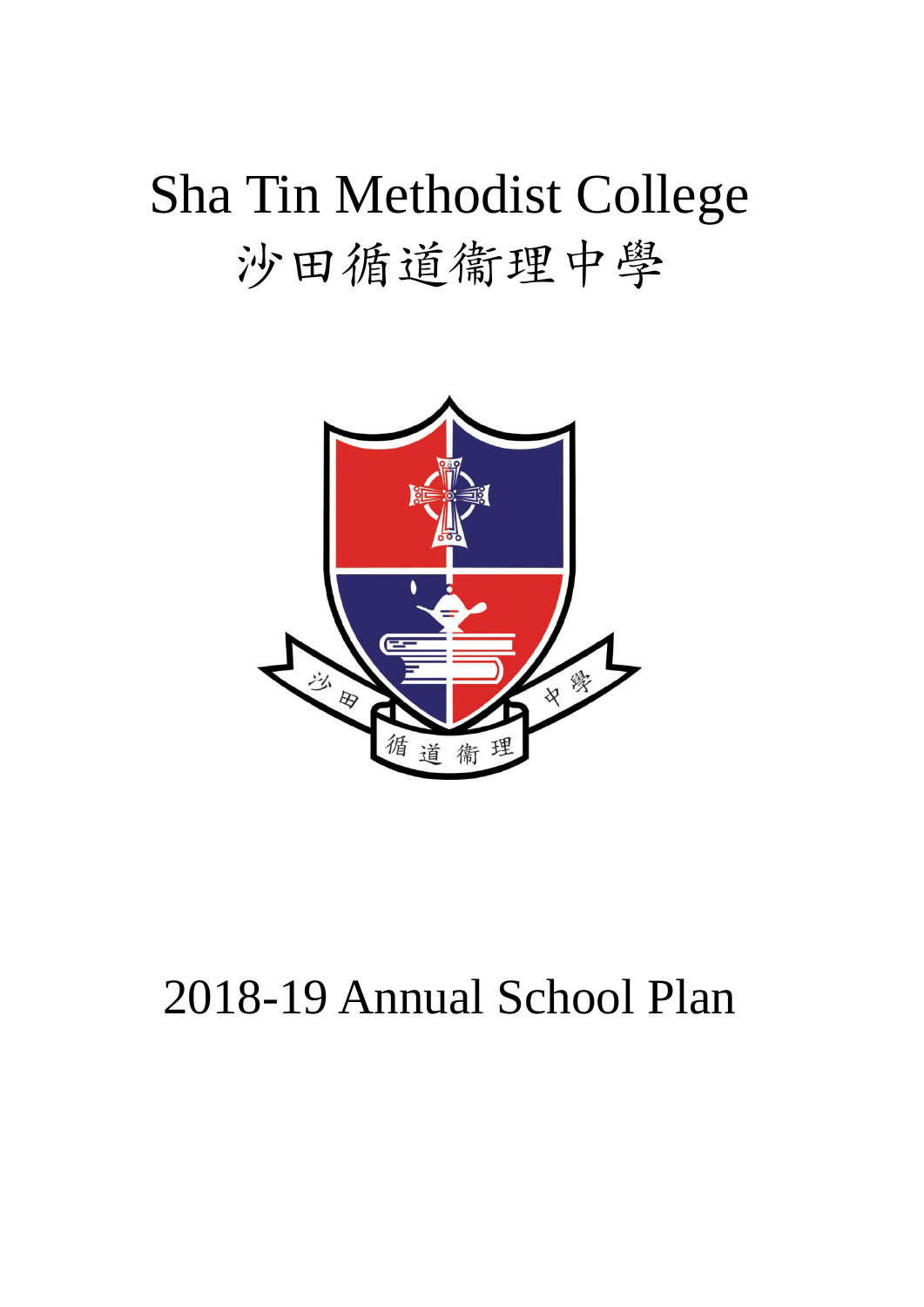# Sha Tin Methodist College 沙田循道衞理中學



# 2018-19 Annual School Plan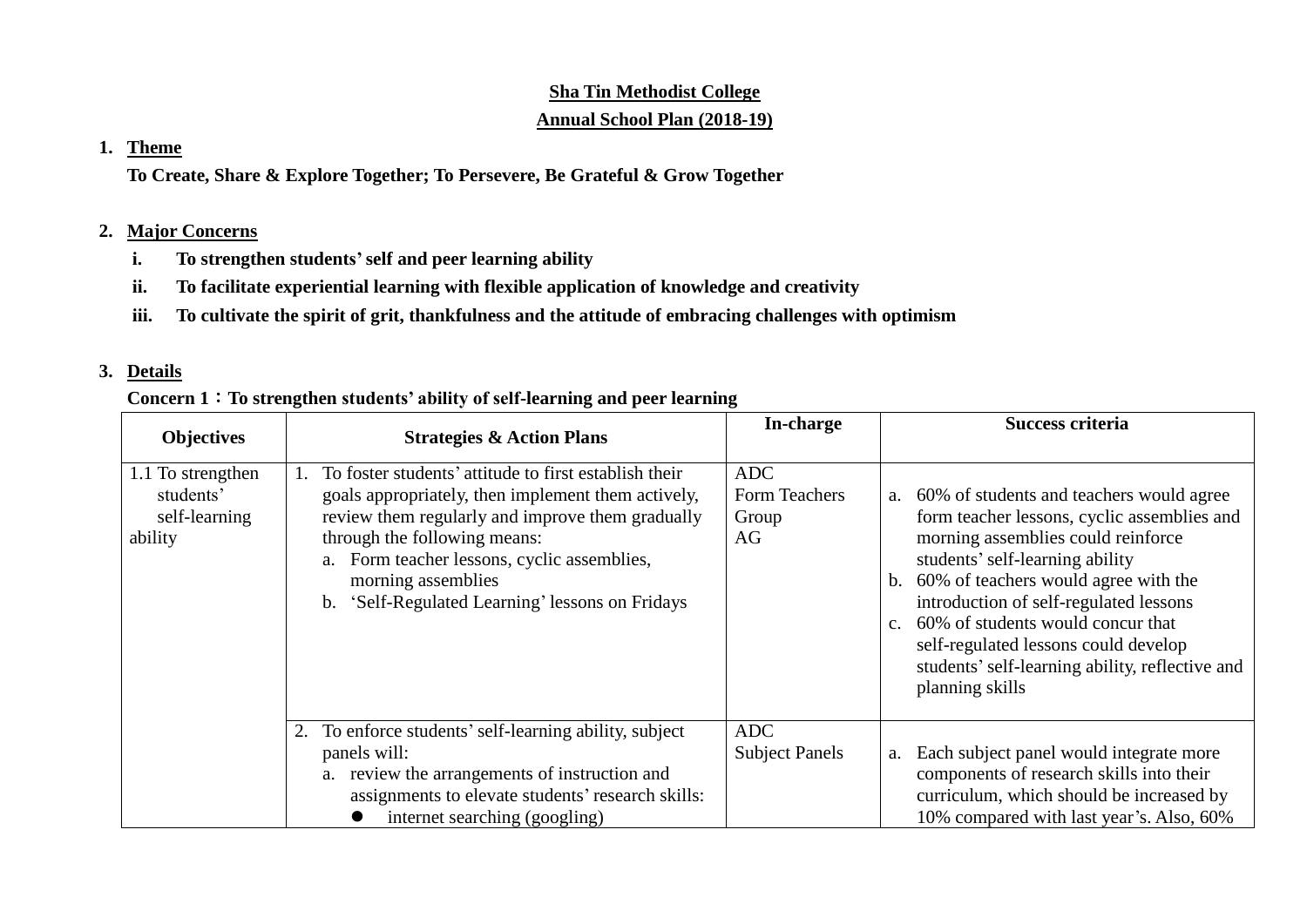# **Sha Tin Methodist College Annual School Plan (2018-19)**

#### **1. Theme**

**To Create, Share & Explore Together; To Persevere, Be Grateful & Grow Together**

## **2. Major Concerns**

- **i. To strengthen students'self and peer learning ability**
- **ii. To facilitate experiential learning with flexible application of knowledge and creativity**
- **iii. To cultivate the spirit of grit, thankfulness and the attitude of embracing challenges with optimism**

### **3. Details**

### **Concern 1**:**To strengthen students' ability of self-learning and peer learning**

| <b>Objectives</b>                                          | <b>Strategies &amp; Action Plans</b>                                                                                                                                                                                                                                                                                    | In-charge                                  | Success criteria                                                                                                                                                                                                                                                                                                                                                                                               |
|------------------------------------------------------------|-------------------------------------------------------------------------------------------------------------------------------------------------------------------------------------------------------------------------------------------------------------------------------------------------------------------------|--------------------------------------------|----------------------------------------------------------------------------------------------------------------------------------------------------------------------------------------------------------------------------------------------------------------------------------------------------------------------------------------------------------------------------------------------------------------|
| 1.1 To strengthen<br>students'<br>self-learning<br>ability | To foster students' attitude to first establish their<br>goals appropriately, then implement them actively,<br>review them regularly and improve them gradually<br>through the following means:<br>a. Form teacher lessons, cyclic assemblies,<br>morning assemblies<br>b. 'Self-Regulated Learning' lessons on Fridays | <b>ADC</b><br>Form Teachers<br>Group<br>AG | a. 60% of students and teachers would agree<br>form teacher lessons, cyclic assemblies and<br>morning assemblies could reinforce<br>students' self-learning ability<br>b. 60% of teachers would agree with the<br>introduction of self-regulated lessons<br>c. 60% of students would concur that<br>self-regulated lessons could develop<br>students' self-learning ability, reflective and<br>planning skills |
|                                                            | 2. To enforce students' self-learning ability, subject<br>panels will:<br>a. review the arrangements of instruction and<br>assignments to elevate students' research skills:<br>internet searching (googling)                                                                                                           | ADC<br><b>Subject Panels</b>               | a. Each subject panel would integrate more<br>components of research skills into their<br>curriculum, which should be increased by<br>10% compared with last year's. Also, 60%                                                                                                                                                                                                                                 |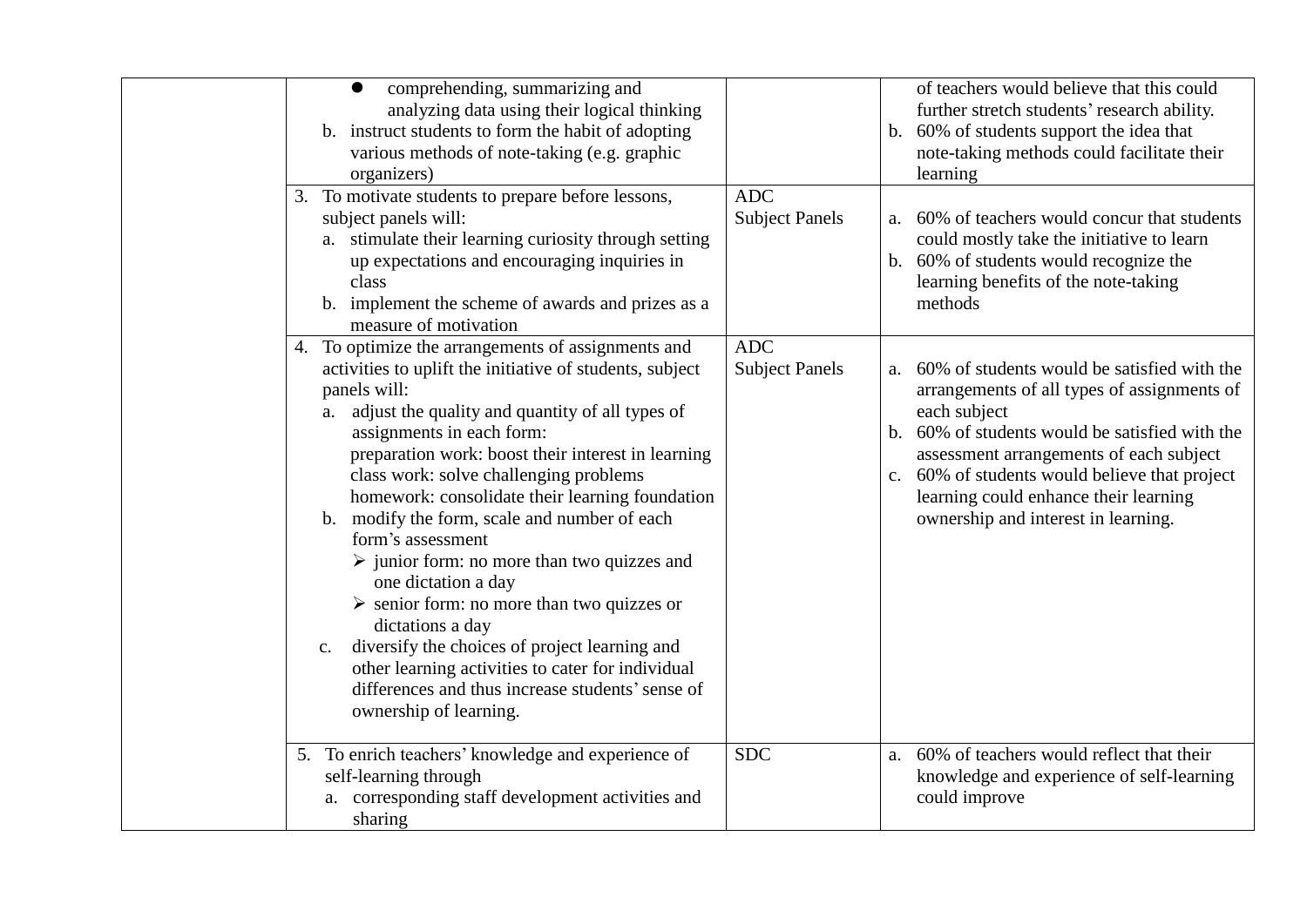| comprehending, summarizing and<br>$\bullet$<br>analyzing data using their logical thinking<br>b. instruct students to form the habit of adopting<br>various methods of note-taking (e.g. graphic<br>organizers)                                                                                                                                                                                                                                                                                                                                                                                                                                                                                                                                                                                                         |                                     | of teachers would believe that this could<br>further stretch students' research ability.<br>b. 60% of students support the idea that<br>note-taking methods could facilitate their<br>learning                                                                                                                                                               |
|-------------------------------------------------------------------------------------------------------------------------------------------------------------------------------------------------------------------------------------------------------------------------------------------------------------------------------------------------------------------------------------------------------------------------------------------------------------------------------------------------------------------------------------------------------------------------------------------------------------------------------------------------------------------------------------------------------------------------------------------------------------------------------------------------------------------------|-------------------------------------|--------------------------------------------------------------------------------------------------------------------------------------------------------------------------------------------------------------------------------------------------------------------------------------------------------------------------------------------------------------|
| 3. To motivate students to prepare before lessons,<br>subject panels will:<br>a. stimulate their learning curiosity through setting<br>up expectations and encouraging inquiries in<br>class<br>b. implement the scheme of awards and prizes as a<br>measure of motivation                                                                                                                                                                                                                                                                                                                                                                                                                                                                                                                                              | <b>ADC</b><br><b>Subject Panels</b> | a. 60% of teachers would concur that students<br>could mostly take the initiative to learn<br>b. 60% of students would recognize the<br>learning benefits of the note-taking<br>methods                                                                                                                                                                      |
| 4. To optimize the arrangements of assignments and<br>activities to uplift the initiative of students, subject<br>panels will:<br>adjust the quality and quantity of all types of<br>a.<br>assignments in each form:<br>preparation work: boost their interest in learning<br>class work: solve challenging problems<br>homework: consolidate their learning foundation<br>b. modify the form, scale and number of each<br>form's assessment<br>$\triangleright$ junior form: no more than two quizzes and<br>one dictation a day<br>$\triangleright$ senior form: no more than two quizzes or<br>dictations a day<br>diversify the choices of project learning and<br>$\mathbf{C}.$<br>other learning activities to cater for individual<br>differences and thus increase students' sense of<br>ownership of learning. | <b>ADC</b><br><b>Subject Panels</b> | 60% of students would be satisfied with the<br>a.<br>arrangements of all types of assignments of<br>each subject<br>60% of students would be satisfied with the<br>$\mathbf b$ .<br>assessment arrangements of each subject<br>c. 60% of students would believe that project<br>learning could enhance their learning<br>ownership and interest in learning. |
| 5. To enrich teachers' knowledge and experience of<br>self-learning through<br>a. corresponding staff development activities and<br>sharing                                                                                                                                                                                                                                                                                                                                                                                                                                                                                                                                                                                                                                                                             | <b>SDC</b>                          | 60% of teachers would reflect that their<br>a.<br>knowledge and experience of self-learning<br>could improve                                                                                                                                                                                                                                                 |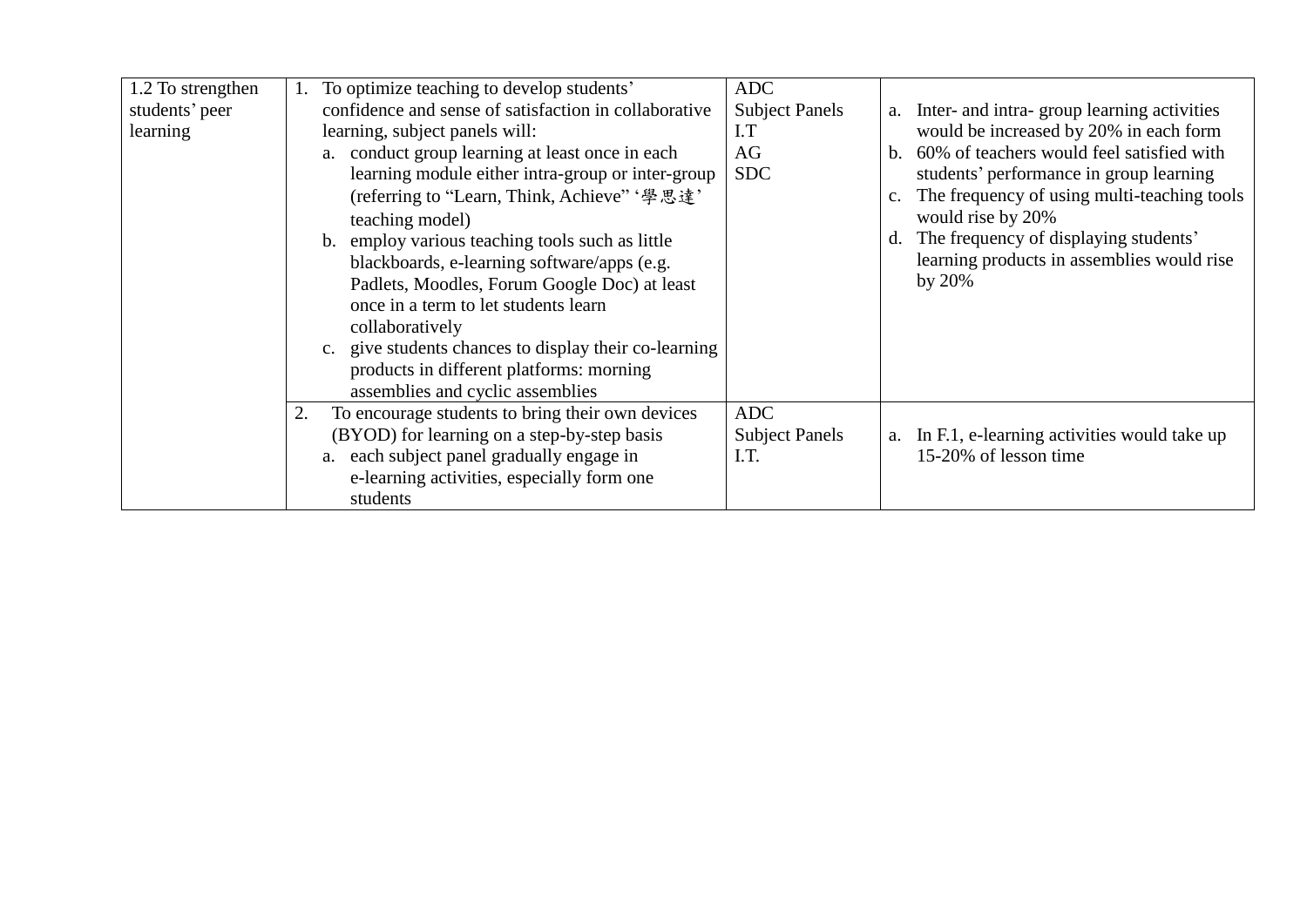| 1.2 To strengthen | To optimize teaching to develop students'              | <b>ADC</b>            |    |                                                |
|-------------------|--------------------------------------------------------|-----------------------|----|------------------------------------------------|
| students' peer    | confidence and sense of satisfaction in collaborative  | <b>Subject Panels</b> |    | a. Inter- and intra-group learning activities  |
| learning          | learning, subject panels will:                         | I.T                   |    | would be increased by 20% in each form         |
|                   | a. conduct group learning at least once in each        | AG                    |    | b. 60% of teachers would feel satisfied with   |
|                   | learning module either intra-group or inter-group      | <b>SDC</b>            |    | students' performance in group learning        |
|                   | (referring to "Learn, Think, Achieve" '學思達'            |                       |    | c. The frequency of using multi-teaching tools |
|                   | teaching model)                                        |                       |    | would rise by 20%                              |
|                   | b. employ various teaching tools such as little        |                       | d. | The frequency of displaying students'          |
|                   | blackboards, e-learning software/apps (e.g.            |                       |    | learning products in assemblies would rise     |
|                   | Padlets, Moodles, Forum Google Doc) at least           |                       |    | by $20\%$                                      |
|                   | once in a term to let students learn                   |                       |    |                                                |
|                   | collaboratively                                        |                       |    |                                                |
|                   | c. give students chances to display their co-learning  |                       |    |                                                |
|                   | products in different platforms: morning               |                       |    |                                                |
|                   | assemblies and cyclic assemblies                       |                       |    |                                                |
|                   | To encourage students to bring their own devices<br>2. | ADC                   |    |                                                |
|                   | (BYOD) for learning on a step-by-step basis            | <b>Subject Panels</b> |    | a. In F.1, e-learning activities would take up |
|                   | a. each subject panel gradually engage in              | I.T.                  |    | 15-20% of lesson time                          |
|                   | e-learning activities, especially form one             |                       |    |                                                |
|                   | students                                               |                       |    |                                                |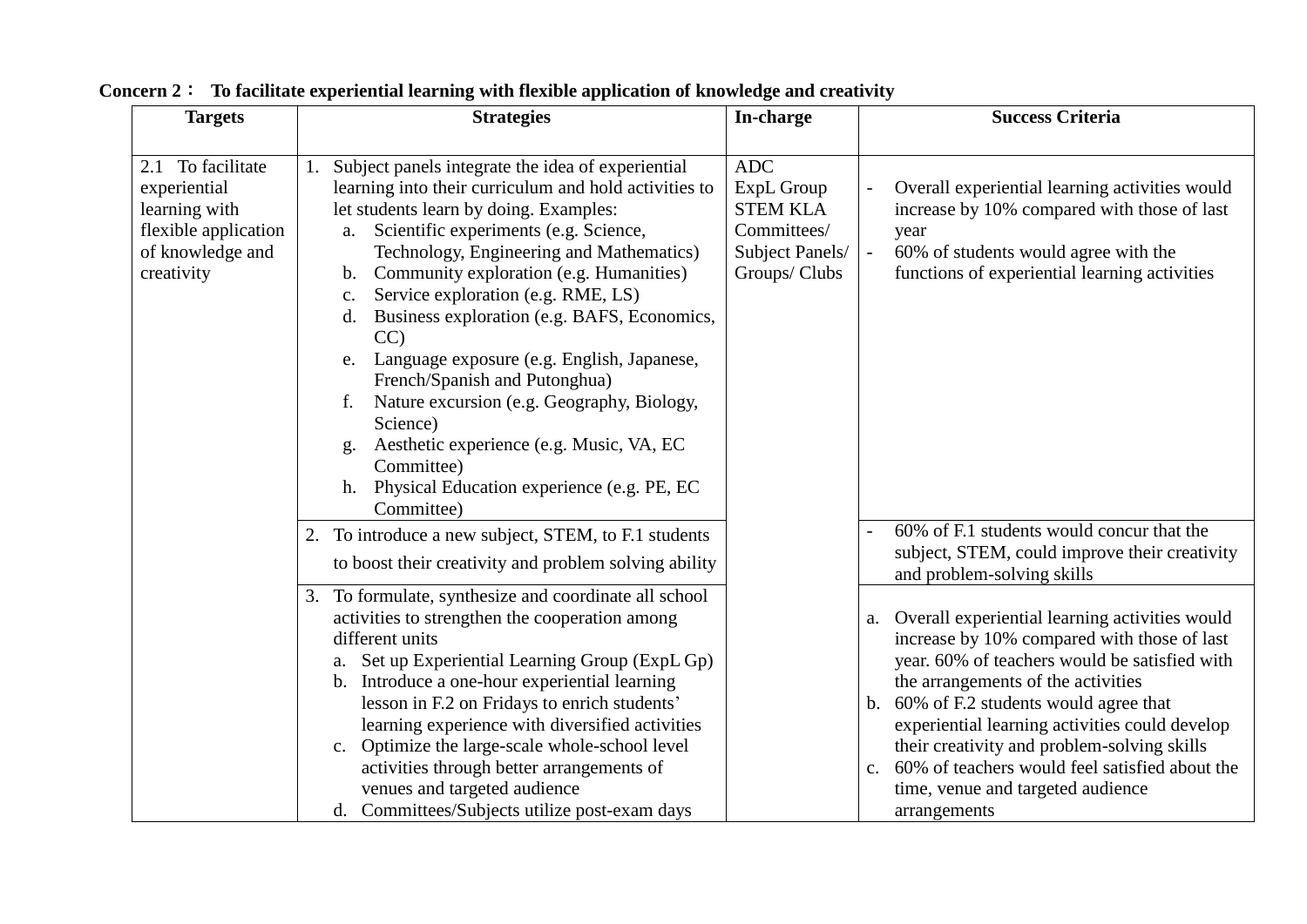| <b>Targets</b>                                                                                               | <b>Strategies</b>                                                                                                                                                                                                                                                                                                                                                                                                                                                                                                                                                                                                                                                                                          | In-charge                                                                                      | <b>Success Criteria</b>                                                                                                                                                                                                                                                                                                                                                                                                                                   |
|--------------------------------------------------------------------------------------------------------------|------------------------------------------------------------------------------------------------------------------------------------------------------------------------------------------------------------------------------------------------------------------------------------------------------------------------------------------------------------------------------------------------------------------------------------------------------------------------------------------------------------------------------------------------------------------------------------------------------------------------------------------------------------------------------------------------------------|------------------------------------------------------------------------------------------------|-----------------------------------------------------------------------------------------------------------------------------------------------------------------------------------------------------------------------------------------------------------------------------------------------------------------------------------------------------------------------------------------------------------------------------------------------------------|
|                                                                                                              |                                                                                                                                                                                                                                                                                                                                                                                                                                                                                                                                                                                                                                                                                                            |                                                                                                |                                                                                                                                                                                                                                                                                                                                                                                                                                                           |
| 2.1 To facilitate<br>experiential<br>learning with<br>flexible application<br>of knowledge and<br>creativity | Subject panels integrate the idea of experiential<br>1.<br>learning into their curriculum and hold activities to<br>let students learn by doing. Examples:<br>Scientific experiments (e.g. Science,<br>a.<br>Technology, Engineering and Mathematics)<br>Community exploration (e.g. Humanities)<br>b.<br>Service exploration (e.g. RME, LS)<br>$\mathbf{c}$ .<br>d. Business exploration (e.g. BAFS, Economics,<br>CC<br>e. Language exposure (e.g. English, Japanese,<br>French/Spanish and Putonghua)<br>Nature excursion (e.g. Geography, Biology,<br>f.<br>Science)<br>Aesthetic experience (e.g. Music, VA, EC<br>g.<br>Committee)<br>Physical Education experience (e.g. PE, EC<br>h.<br>Committee) | <b>ADC</b><br>ExpL Group<br><b>STEM KLA</b><br>Committees/<br>Subject Panels/<br>Groups/ Clubs | Overall experiential learning activities would<br>increase by 10% compared with those of last<br>year<br>60% of students would agree with the<br>functions of experiential learning activities                                                                                                                                                                                                                                                            |
|                                                                                                              | 2. To introduce a new subject, STEM, to F.1 students<br>to boost their creativity and problem solving ability                                                                                                                                                                                                                                                                                                                                                                                                                                                                                                                                                                                              |                                                                                                | 60% of F.1 students would concur that the<br>subject, STEM, could improve their creativity<br>and problem-solving skills                                                                                                                                                                                                                                                                                                                                  |
|                                                                                                              | 3. To formulate, synthesize and coordinate all school<br>activities to strengthen the cooperation among<br>different units<br>a. Set up Experiential Learning Group (ExpL Gp)<br>b. Introduce a one-hour experiential learning<br>lesson in F.2 on Fridays to enrich students'<br>learning experience with diversified activities<br>c. Optimize the large-scale whole-school level<br>activities through better arrangements of<br>venues and targeted audience<br>d. Committees/Subjects utilize post-exam days                                                                                                                                                                                          |                                                                                                | a. Overall experiential learning activities would<br>increase by 10% compared with those of last<br>year. 60% of teachers would be satisfied with<br>the arrangements of the activities<br>b. 60% of F.2 students would agree that<br>experiential learning activities could develop<br>their creativity and problem-solving skills<br>60% of teachers would feel satisfied about the<br>$C_{\star}$<br>time, venue and targeted audience<br>arrangements |

**Concern 2**: **To facilitate experiential learning with flexible application of knowledge and creativity**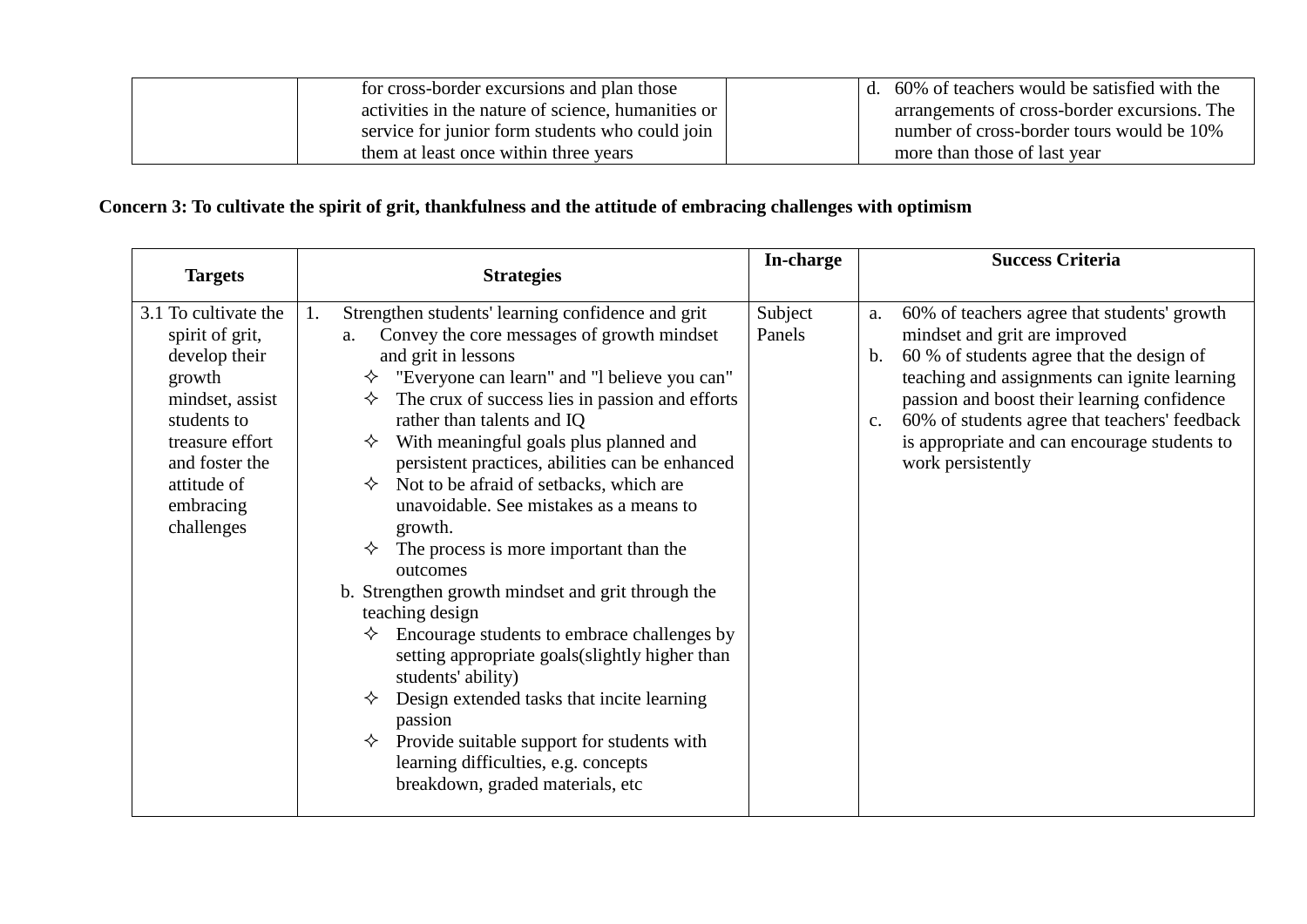| for cross-border excursions and plan those         |  | 1. 60% of teachers would be satisfied with the |
|----------------------------------------------------|--|------------------------------------------------|
| activities in the nature of science, humanities or |  | arrangements of cross-border excursions. The   |
| service for junior form students who could join    |  | number of cross-border tours would be 10%      |
| them at least once within three years              |  | more than those of last year                   |

# **Concern 3: To cultivate the spirit of grit, thankfulness and the attitude of embracing challenges with optimism**

| <b>Targets</b>                                                                                                                                                                      | <b>Strategies</b>                                                                                                                                                                                                                                                                                                                                                                                                                                                                                                                                                                                                                                                                                                                                                                                                                                                                                                                        | In-charge         | <b>Success Criteria</b>                                                                                                                                                                                                                                                                                                                                                                 |
|-------------------------------------------------------------------------------------------------------------------------------------------------------------------------------------|------------------------------------------------------------------------------------------------------------------------------------------------------------------------------------------------------------------------------------------------------------------------------------------------------------------------------------------------------------------------------------------------------------------------------------------------------------------------------------------------------------------------------------------------------------------------------------------------------------------------------------------------------------------------------------------------------------------------------------------------------------------------------------------------------------------------------------------------------------------------------------------------------------------------------------------|-------------------|-----------------------------------------------------------------------------------------------------------------------------------------------------------------------------------------------------------------------------------------------------------------------------------------------------------------------------------------------------------------------------------------|
| 3.1 To cultivate the<br>spirit of grit,<br>develop their<br>growth<br>mindset, assist<br>students to<br>treasure effort<br>and foster the<br>attitude of<br>embracing<br>challenges | Strengthen students' learning confidence and grit<br>1.<br>Convey the core messages of growth mindset<br>a.<br>and grit in lessons<br>"Everyone can learn" and "I believe you can"<br>The crux of success lies in passion and efforts<br>✧<br>rather than talents and IQ<br>With meaningful goals plus planned and<br>✧<br>persistent practices, abilities can be enhanced<br>Not to be afraid of setbacks, which are<br>✧<br>unavoidable. See mistakes as a means to<br>growth.<br>The process is more important than the<br>✧<br>outcomes<br>b. Strengthen growth mindset and grit through the<br>teaching design<br>Encourage students to embrace challenges by<br>✧<br>setting appropriate goals (slightly higher than<br>students' ability)<br>Design extended tasks that incite learning<br>passion<br>Provide suitable support for students with<br>✧<br>learning difficulties, e.g. concepts<br>breakdown, graded materials, etc | Subject<br>Panels | 60% of teachers agree that students' growth<br>a.<br>mindset and grit are improved<br>60 % of students agree that the design of<br>$\mathbf{b}$ .<br>teaching and assignments can ignite learning<br>passion and boost their learning confidence<br>60% of students agree that teachers' feedback<br>$C_{\bullet}$<br>is appropriate and can encourage students to<br>work persistently |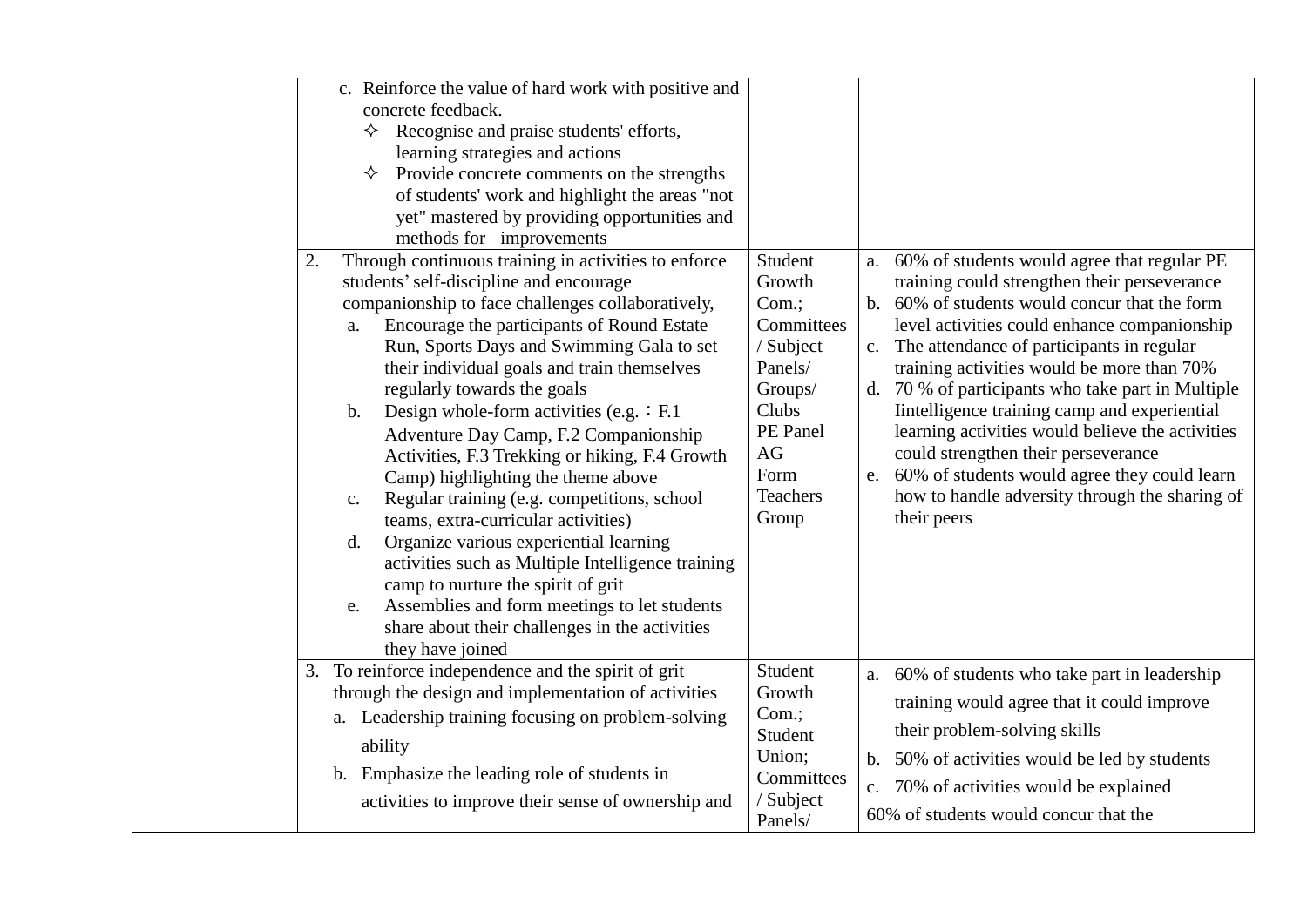| c. Reinforce the value of hard work with positive and<br>concrete feedback.<br>Recognise and praise students' efforts,<br>✧<br>learning strategies and actions<br>✧<br>Provide concrete comments on the strengths<br>of students' work and highlight the areas "not<br>yet" mastered by providing opportunities and<br>methods for improvements                                                                                                                                                                                                                                                                                                                                                                                                                                                                                                                                                                                                                                                                                                                                                |                                                                                                                                                                                                                                                                                                                                                                                                                                                                                                                                                                                                      |
|------------------------------------------------------------------------------------------------------------------------------------------------------------------------------------------------------------------------------------------------------------------------------------------------------------------------------------------------------------------------------------------------------------------------------------------------------------------------------------------------------------------------------------------------------------------------------------------------------------------------------------------------------------------------------------------------------------------------------------------------------------------------------------------------------------------------------------------------------------------------------------------------------------------------------------------------------------------------------------------------------------------------------------------------------------------------------------------------|------------------------------------------------------------------------------------------------------------------------------------------------------------------------------------------------------------------------------------------------------------------------------------------------------------------------------------------------------------------------------------------------------------------------------------------------------------------------------------------------------------------------------------------------------------------------------------------------------|
| Through continuous training in activities to enforce<br>Student<br>2.<br>a.<br>Growth<br>students' self-discipline and encourage<br>companionship to face challenges collaboratively,<br>Com.;<br>$\mathbf{b}$ .<br>Encourage the participants of Round Estate<br>Committees<br>a.<br>Run, Sports Days and Swimming Gala to set<br>/ Subject<br>Panels/<br>their individual goals and train themselves<br>regularly towards the goals<br>Groups/<br>Design whole-form activities (e.g. $:$ F.1<br>Clubs<br>b.<br>PE Panel<br>Adventure Day Camp, F.2 Companionship<br>AG<br>Activities, F.3 Trekking or hiking, F.4 Growth<br>Form<br>Camp) highlighting the theme above<br>e.<br>Teachers<br>Regular training (e.g. competitions, school<br>$\mathbf{c}$ .<br>Group<br>teams, extra-curricular activities)<br>Organize various experiential learning<br>$\mathbf{d}$ .<br>activities such as Multiple Intelligence training<br>camp to nurture the spirit of grit<br>Assemblies and form meetings to let students<br>e.<br>share about their challenges in the activities<br>they have joined | 60% of students would agree that regular PE<br>training could strengthen their perseverance<br>60% of students would concur that the form<br>level activities could enhance companionship<br>The attendance of participants in regular<br>training activities would be more than 70%<br>d. 70 % of participants who take part in Multiple<br>Intelligence training camp and experiential<br>learning activities would believe the activities<br>could strengthen their perseverance<br>60% of students would agree they could learn<br>how to handle adversity through the sharing of<br>their peers |
| 3. To reinforce independence and the spirit of grit<br>Student<br>through the design and implementation of activities<br>Growth<br>Com.;<br>a. Leadership training focusing on problem-solving<br>Student<br>ability<br>Union;<br>Emphasize the leading role of students in<br>$\mathbf b$ .<br>Committees<br>/ Subject<br>activities to improve their sense of ownership and<br>Panels/                                                                                                                                                                                                                                                                                                                                                                                                                                                                                                                                                                                                                                                                                                       | a. 60% of students who take part in leadership<br>training would agree that it could improve<br>their problem-solving skills<br>b. 50% of activities would be led by students<br>c. 70% of activities would be explained<br>60% of students would concur that the                                                                                                                                                                                                                                                                                                                                    |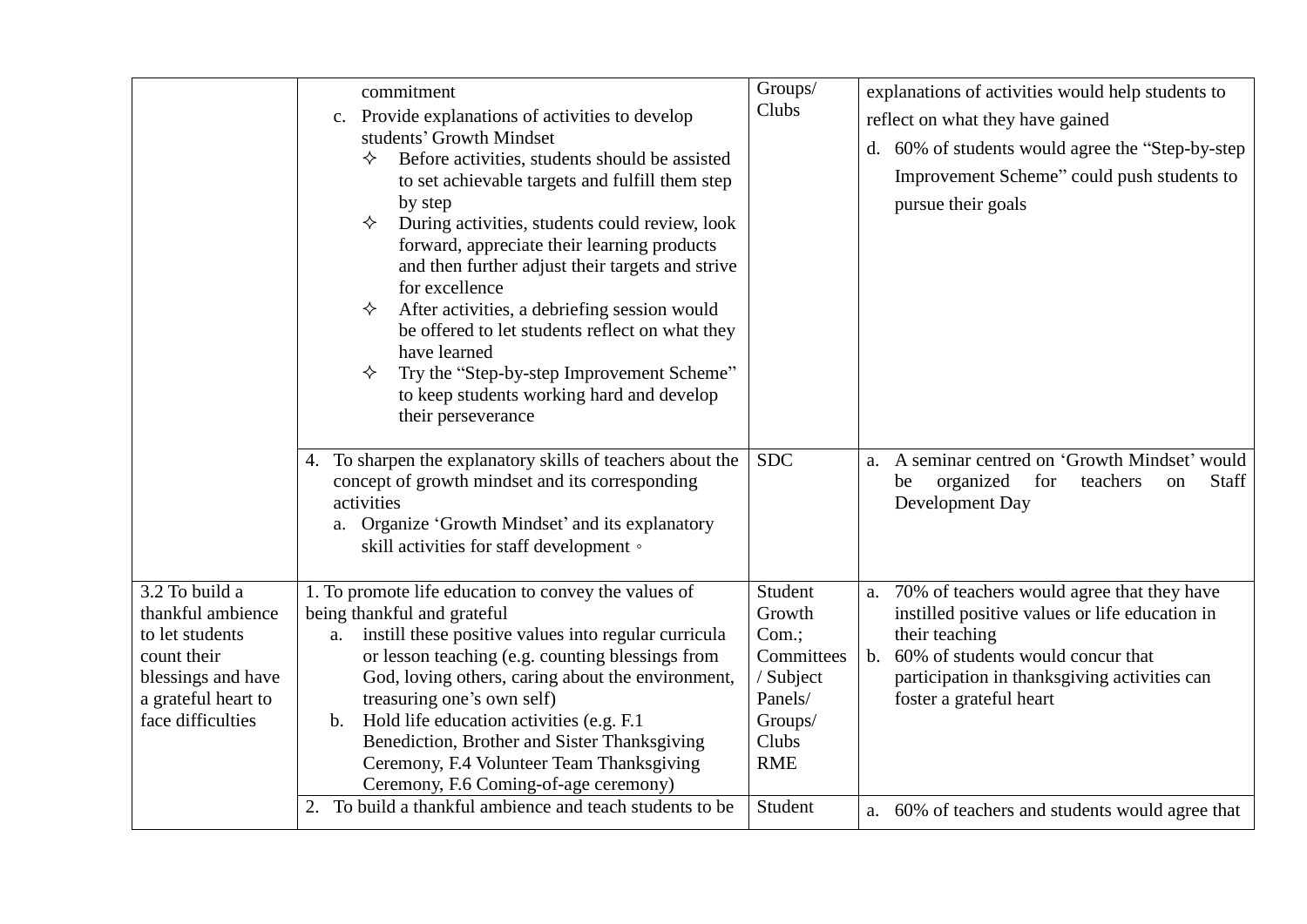|                                                                                                                                         | commitment<br>Provide explanations of activities to develop<br>c.<br>students' Growth Mindset<br>Before activities, students should be assisted<br>✧<br>to set achievable targets and fulfill them step<br>by step<br>During activities, students could review, look<br>✧<br>forward, appreciate their learning products<br>and then further adjust their targets and strive<br>for excellence<br>After activities, a debriefing session would<br>✧<br>be offered to let students reflect on what they<br>have learned<br>Try the "Step-by-step Improvement Scheme"<br>✧<br>to keep students working hard and develop<br>their perseverance | Groups/<br>Clubs                                                                                   | explanations of activities would help students to<br>reflect on what they have gained<br>d. 60% of students would agree the "Step-by-step"<br>Improvement Scheme" could push students to<br>pursue their goals                                         |
|-----------------------------------------------------------------------------------------------------------------------------------------|---------------------------------------------------------------------------------------------------------------------------------------------------------------------------------------------------------------------------------------------------------------------------------------------------------------------------------------------------------------------------------------------------------------------------------------------------------------------------------------------------------------------------------------------------------------------------------------------------------------------------------------------|----------------------------------------------------------------------------------------------------|--------------------------------------------------------------------------------------------------------------------------------------------------------------------------------------------------------------------------------------------------------|
|                                                                                                                                         | 4. To sharpen the explanatory skills of teachers about the<br>concept of growth mindset and its corresponding<br>activities<br>a. Organize 'Growth Mindset' and its explanatory<br>skill activities for staff development .                                                                                                                                                                                                                                                                                                                                                                                                                 | <b>SDC</b>                                                                                         | A seminar centred on 'Growth Mindset' would<br>a.<br>organized<br>for<br>teachers<br>Staff<br>be<br><sub>on</sub><br>Development Day                                                                                                                   |
| 3.2 To build a<br>thankful ambience<br>to let students<br>count their<br>blessings and have<br>a grateful heart to<br>face difficulties | 1. To promote life education to convey the values of<br>being thankful and grateful<br>instill these positive values into regular curricula<br>a.<br>or lesson teaching (e.g. counting blessings from<br>God, loving others, caring about the environment,<br>treasuring one's own self)<br>Hold life education activities (e.g. F.1)<br>b.<br>Benediction, Brother and Sister Thanksgiving<br>Ceremony, F.4 Volunteer Team Thanksgiving<br>Ceremony, F.6 Coming-of-age ceremony)<br>2. To build a thankful ambience and teach students to be                                                                                               | Student<br>Growth<br>Com.;<br>Committees<br>/ Subject<br>Panels/<br>Groups/<br>Clubs<br><b>RME</b> | 70% of teachers would agree that they have<br>a.<br>instilled positive values or life education in<br>their teaching<br>60% of students would concur that<br>b <sub>1</sub><br>participation in thanksgiving activities can<br>foster a grateful heart |
|                                                                                                                                         |                                                                                                                                                                                                                                                                                                                                                                                                                                                                                                                                                                                                                                             | Student                                                                                            | a. 60% of teachers and students would agree that                                                                                                                                                                                                       |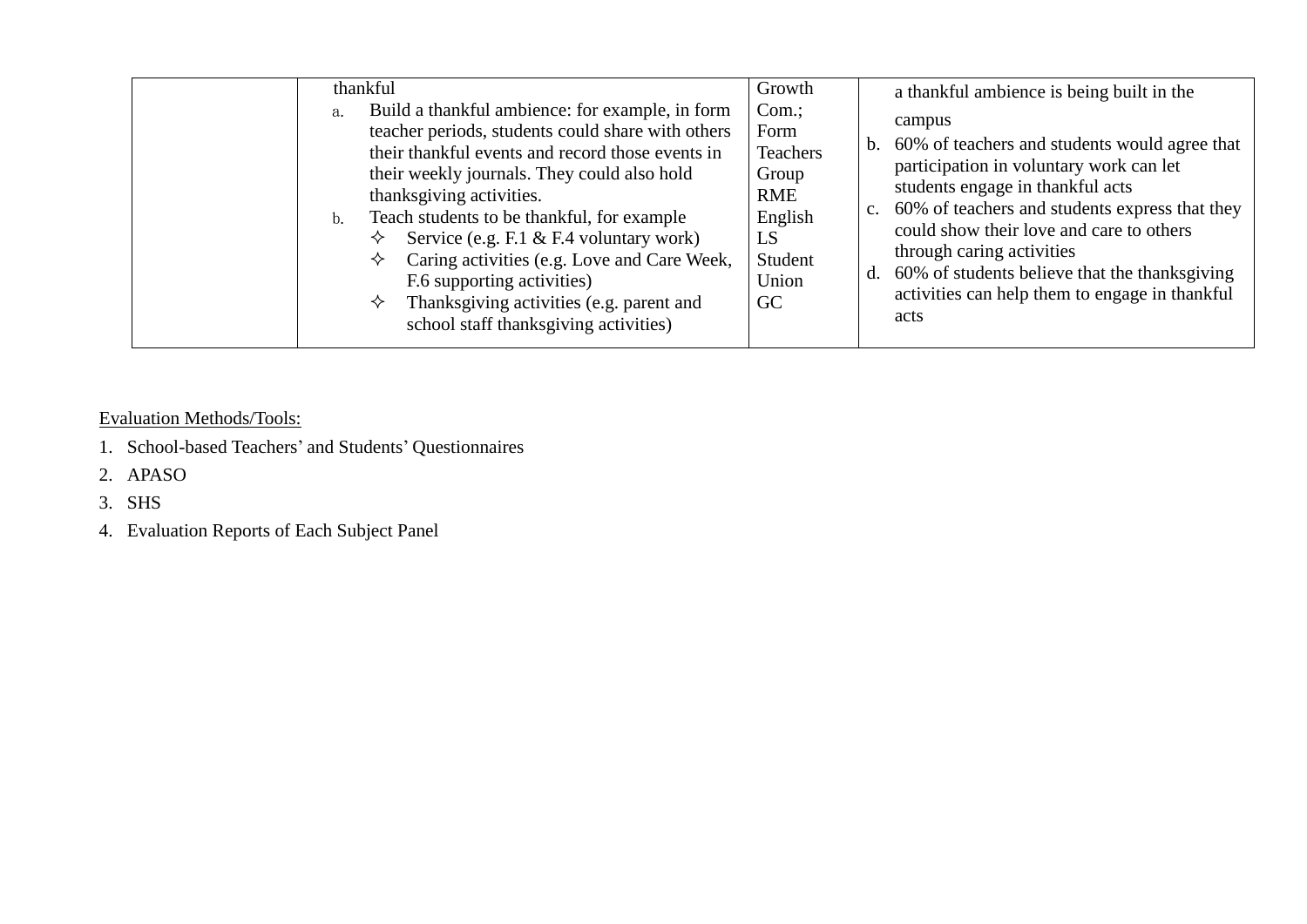| thankful<br>Build a thankful ambience: for example, in form<br>a.<br>teacher periods, students could share with others<br>their thankful events and record those events in<br>their weekly journals. They could also hold<br>thanksgiving activities.<br>Teach students to be thankful, for example<br>b.<br>Service (e.g. F.1 & F.4 voluntary work)<br>✧<br>Caring activities (e.g. Love and Care Week,<br>✧<br>F.6 supporting activities)<br>Thanksgiving activities (e.g. parent and<br>✧<br>school staff thanksgiving activities) | Growth<br>Com.<br>Form<br><b>Teachers</b><br>Group<br><b>RME</b><br>English<br>LS<br>Student<br>Union<br>GC | a thankful ambience is being built in the<br>campus<br>b. 60% of teachers and students would agree that<br>participation in voluntary work can let<br>students engage in thankful acts<br>60% of teachers and students express that they<br>$\mathbf{c}$ .<br>could show their love and care to others<br>through caring activities<br>60% of students believe that the thanks giving<br>activities can help them to engage in thankful<br>acts |
|---------------------------------------------------------------------------------------------------------------------------------------------------------------------------------------------------------------------------------------------------------------------------------------------------------------------------------------------------------------------------------------------------------------------------------------------------------------------------------------------------------------------------------------|-------------------------------------------------------------------------------------------------------------|-------------------------------------------------------------------------------------------------------------------------------------------------------------------------------------------------------------------------------------------------------------------------------------------------------------------------------------------------------------------------------------------------------------------------------------------------|
|---------------------------------------------------------------------------------------------------------------------------------------------------------------------------------------------------------------------------------------------------------------------------------------------------------------------------------------------------------------------------------------------------------------------------------------------------------------------------------------------------------------------------------------|-------------------------------------------------------------------------------------------------------------|-------------------------------------------------------------------------------------------------------------------------------------------------------------------------------------------------------------------------------------------------------------------------------------------------------------------------------------------------------------------------------------------------------------------------------------------------|

Evaluation Methods/Tools:

- 1. School-based Teachers' and Students' Questionnaires
- 2. APASO

3. SHS

4. Evaluation Reports of Each Subject Panel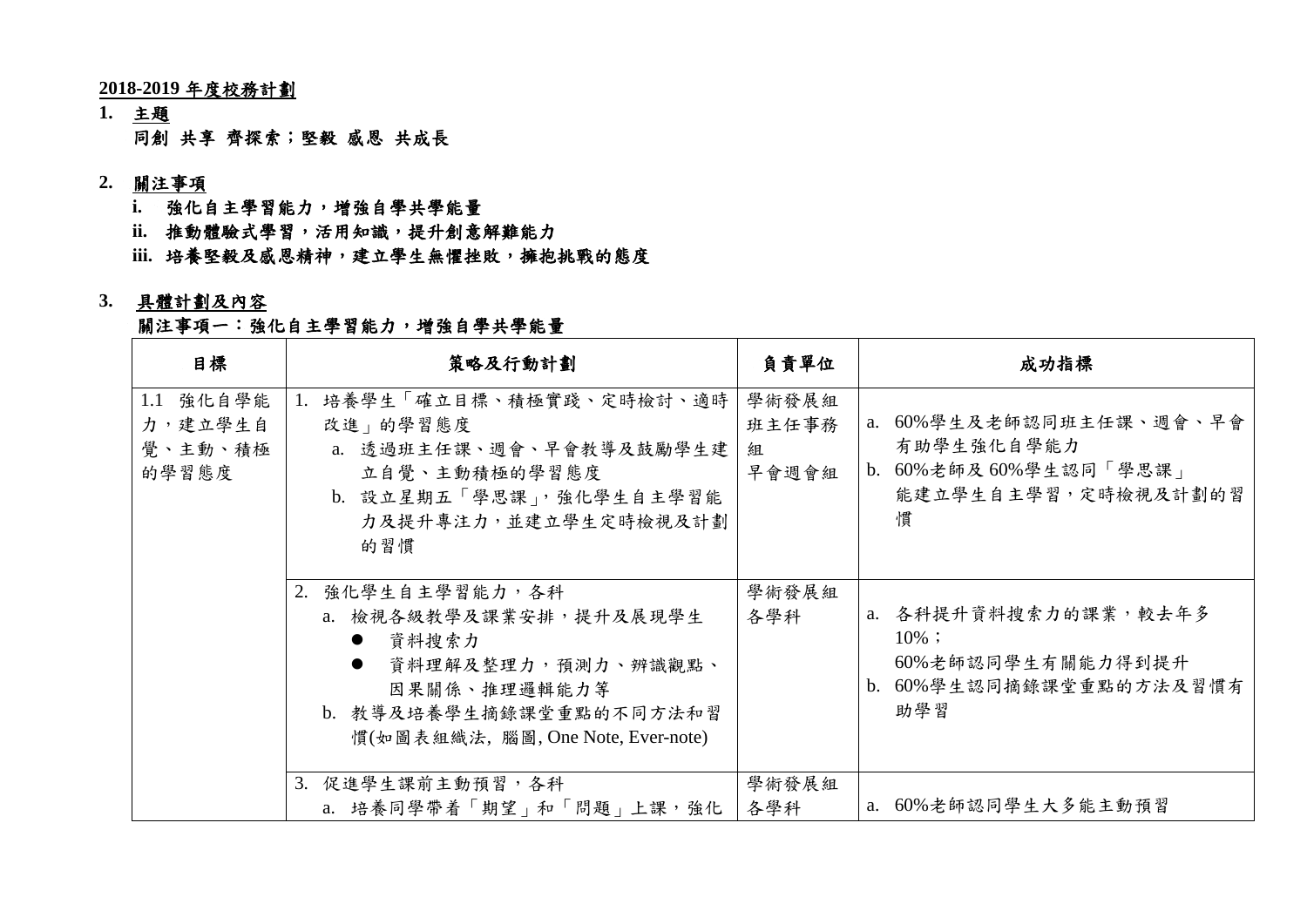**2018-2019** 年度校務計劃

**1.** 主題 同創 共享 齊探索;堅毅 感恩 共成長

#### **2.** 關注事項

- **i.** 強化自主學習能力,增強自學共學能量
- **ii.** 推動體驗式學習,活用知識,提升創意解難能力
- iii. 培養堅毅及感恩精神,建立學生無懼挫敗,擁抱挑戰的態度

#### **3.** 具體計劃及內容

#### 關注事項一:強化自主學習能力,增強自學共學能量

| 目標                                       | 策略及行動計劃                                                                                                                                                                                 | 負責單位                         | 成功指標                                                                                       |
|------------------------------------------|-----------------------------------------------------------------------------------------------------------------------------------------------------------------------------------------|------------------------------|--------------------------------------------------------------------------------------------|
| 1.1 強化自學能<br>力,建立學生自<br>覺、主動、積極<br>的學習態度 | 培養學生「確立目標、積極實踐、定時檢討、適時<br>改進   的學習態度<br>a. 透過班主任課、週會、早會教導及鼓勵學生建<br>立自覺、主動積極的學習態度<br>b. 設立星期五「學思課」,強化學生自主學習能<br>力及提升專注力,並建立學生定時檢視及計劃<br>的習慣                                              | 學術發展組<br>班主任事務<br>組<br>早會週會組 | a. 60%學生及老師認同班主任課、週會、早會<br>有助學生強化自學能力<br>b. 60%老師及60%學生認同「學思課」<br>能建立學生自主學習,定時檢視及計劃的習<br>慣 |
|                                          | 2.<br>強化學生自主學習能力,各科<br>a. 檢視各級教學及課業安排,提升及展現學生<br>資料搜索力<br>$\bullet$<br>資料理解及整理力,預測力、辨識觀點、<br>$\bullet$<br>因果關係、推理邏輯能力等<br>b. 教導及培養學生摘錄課堂重點的不同方法和習<br>慣(如圖表組織法, 腦圖, One Note, Ever-note) | 學術發展組<br>各學科                 | a. 各科提升資料搜索力的課業,較去年多<br>$10\%$ ;<br>60%老師認同學生有關能力得到提升<br>b. 60%學生認同摘錄課堂重點的方法及習慣有<br>助學習    |
|                                          | 3. 促進學生課前主動預習,各科<br>a. 培養同學帶着「期望」和「問題」上課,強化                                                                                                                                             | 學術發展組<br>各學科                 | a. 60%老師認同學生大多能主動預習                                                                        |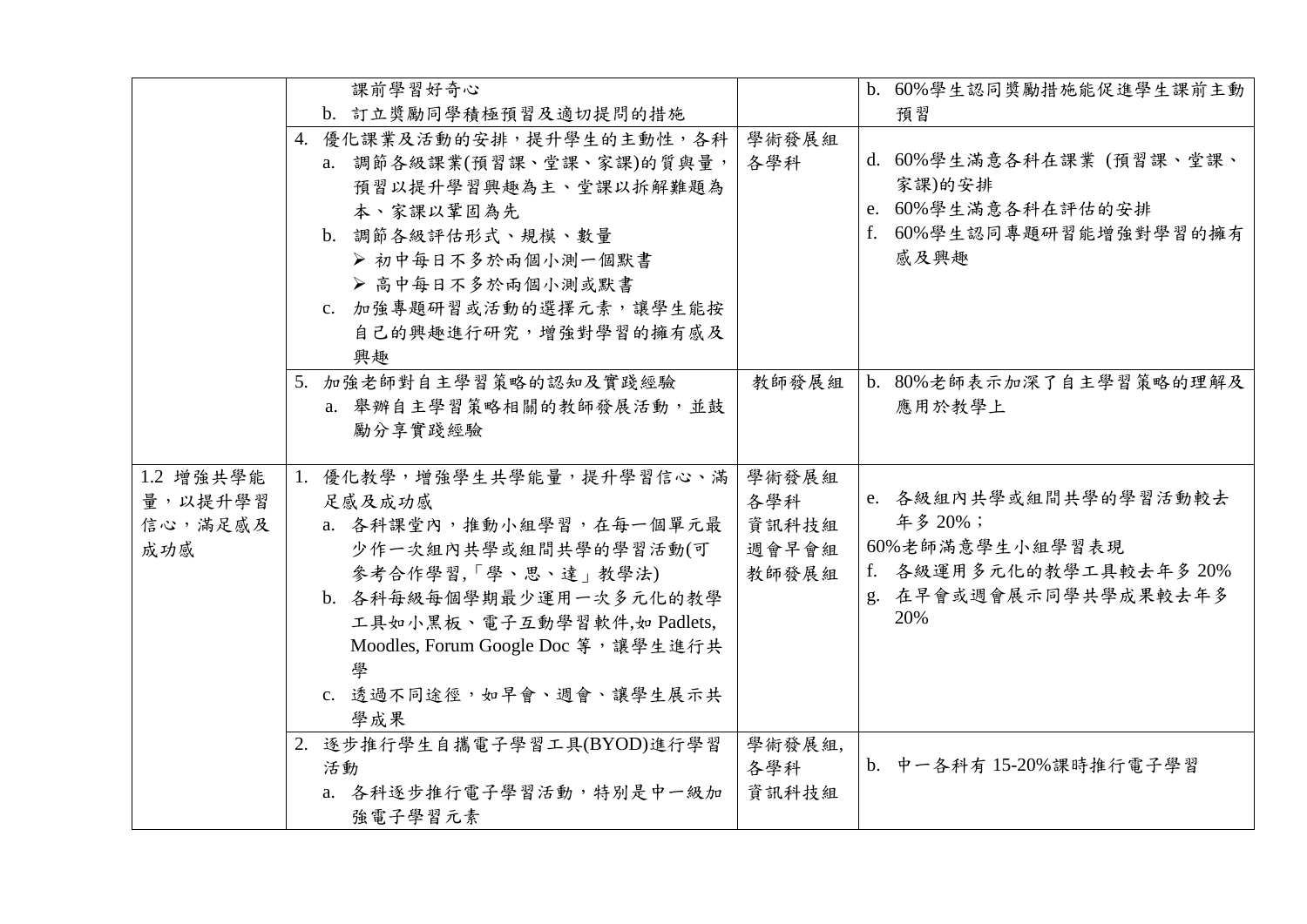|           | 課前學習好奇心                             |        | b. 60%學生認同獎勵措施能促進學生課前主動  |
|-----------|-------------------------------------|--------|--------------------------|
|           | b. 訂立獎勵同學積極預習及適切提問的措施               |        | 預習                       |
|           | 4. 優化課業及活動的安排,提升學生的主動性,各科           | 學術發展組  |                          |
|           | a. 調節各級課業(預習課、堂課、家課)的質與量,           | 各學科    | d. 60%學生滿意各科在課業 (預習課、堂課、 |
|           | 預習以提升學習興趣為主、堂課以拆解難題為                |        | 家課)的安排                   |
|           | 本、家課以鞏固為先                           |        | e. 60%學生滿意各科在評估的安排       |
|           | b. 調節各級評估形式、規模、數量                   |        | f. 60%學生認同專題研習能增強對學習的擁有  |
|           | >初中每日不多於兩個小測一個默書                    |        | 感及興趣                     |
|           | ▶ 高中每日不多於兩個小測或默書                    |        |                          |
|           | c. 加強專題研習或活動的選擇元素,讓學生能按             |        |                          |
|           | 自己的興趣進行研究,增強對學習的擁有感及                |        |                          |
|           | 興趣                                  |        |                          |
|           | 5. 加強老師對自主學習策略的認知及實踐經驗              | 教師發展組  | b. 80%老師表示加深了自主學習策略的理解及  |
|           | a. 舉辦自主學習策略相關的教師發展活動,並鼓             |        | 應用於教學上                   |
|           | 勵分享實踐經驗                             |        |                          |
|           |                                     |        |                          |
| 1.2 增強共學能 | 1. 優化教學,增強學生共學能量,提升學習信心、滿           | 學術發展組  |                          |
| 量,以提升學習   | 足感及成功感                              | 各學科    | e. 各級組內共學或組間共學的學習活動較去    |
| 信心,滿足感及   | a. 各科課堂內, 推動小組學習, 在每一個單元最           | 資訊科技組  | 年多 20%;                  |
| 成功感       | 少作一次組內共學或組間共學的學習活動(可                | 週會早會組  | 60%老師滿意學生小組學習表現          |
|           | 參考合作學習,「學、思、達」教學法)                  | 教師發展組  | f. 各級運用多元化的教學工具較去年多 20%  |
|           | b. 各科每級每個學期最少運用一次多元化的教學             |        | g. 在早會或週會展示同學共學成果較去年多    |
|           | 工具如小黑板、電子互動學習軟件,如 Padlets,          |        | 20%                      |
|           | Moodles, Forum Google Doc 等, 讓學生進行共 |        |                          |
|           |                                     |        |                          |
|           | c. 透過不同途徑,如早會、週會、讓學生展示共             |        |                          |
|           | 學成果                                 |        |                          |
|           | 2. 逐步推行學生自攜電子學習工具(BYOD)進行學習         | 學術發展組, |                          |
|           | 活動                                  | 各學科    | b. 中一各科有 15-20%課時推行電子學習  |
|           | a. 各科逐步推行電子學習活動,特別是中一級加             | 資訊科技組  |                          |
|           | 強電子學習元素                             |        |                          |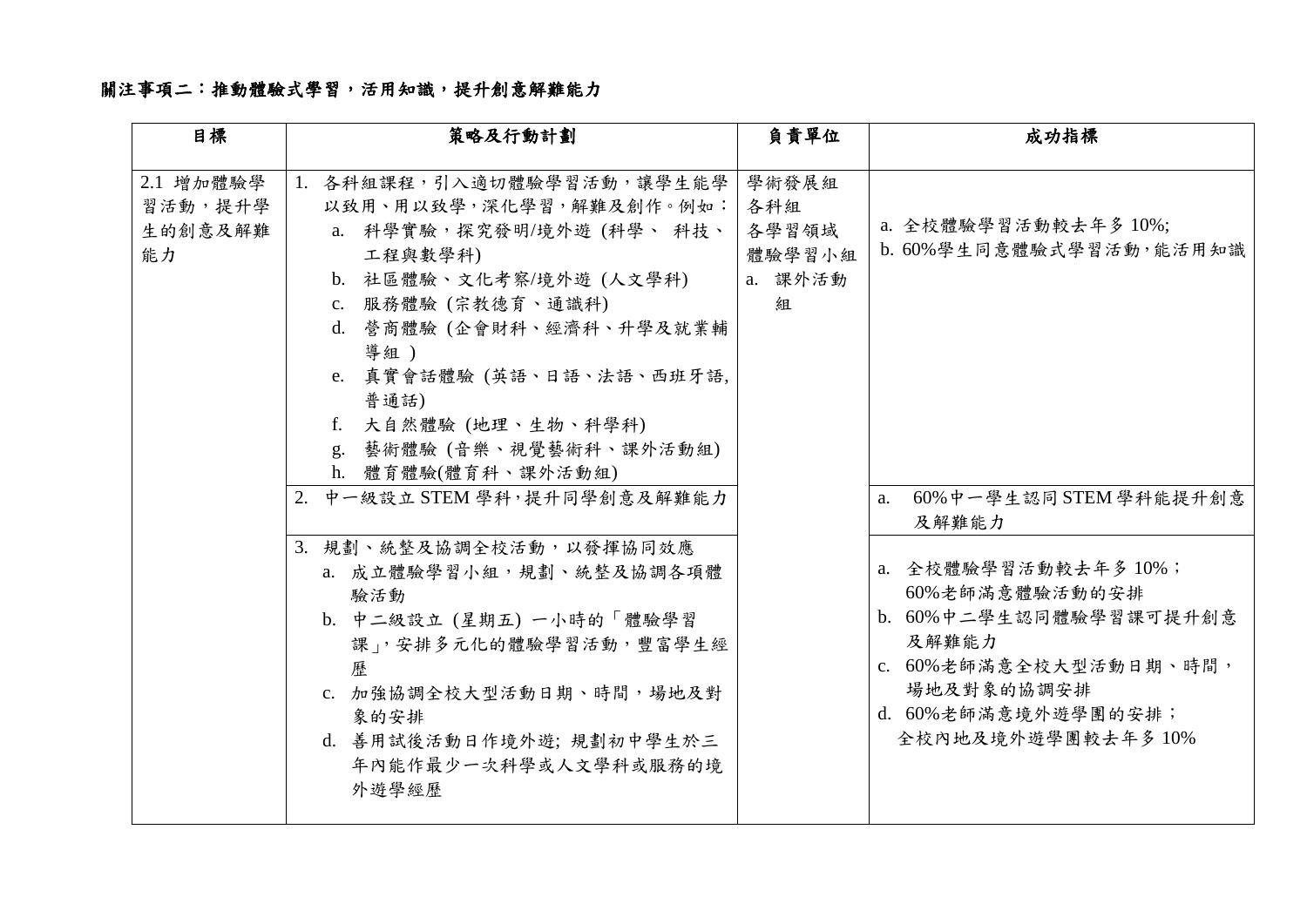# 關注事項二:推動體驗式學習,活用知識,提升創意解難能力

| 目標                                    | 策略及行動計劃                                                                                                                                                                                                                                                                                                                                                                                                                                                                                                                                              | 負責單位                                            | 成功指標                                                                                                                                                                                                                                                     |
|---------------------------------------|------------------------------------------------------------------------------------------------------------------------------------------------------------------------------------------------------------------------------------------------------------------------------------------------------------------------------------------------------------------------------------------------------------------------------------------------------------------------------------------------------------------------------------------------------|-------------------------------------------------|----------------------------------------------------------------------------------------------------------------------------------------------------------------------------------------------------------------------------------------------------------|
| 2.1 增加體驗學<br>習活動,提升學<br>生的創意及解難<br>能力 | 1. 各科組課程,引入適切體驗學習活動,讓學生能學<br>以致用、用以致學,深化學習,解難及創作。例如:<br>a. 科學實驗,探究發明/境外遊(科學、科技、<br>工程與數學科)<br>b. 社區體驗、文化考察/境外遊 (人文學科)<br>c. 服務體驗 (宗教德育、通識科)<br>d. 營商體驗 (企會財科、經濟科、升學及就業輔<br>導組)<br>e. 真實會話體驗 (英語、日語、法語、西班牙語,<br>普通話)<br>f. 大自然體驗 (地理、生物、科學科)<br>g. 藝術體驗 (音樂、視覺藝術科、課外活動組)<br>h. 體育體驗(體育科、課外活動組)<br>2. 中一級設立 STEM 學科,提升同學創意及解難能力<br>3. 規劃、統整及協調全校活動,以發揮協同效應<br>a. 成立體驗學習小組,規劃、統整及協調各項體<br>驗活動<br>b. 中二級設立 (星期五) 一小時的「體驗學習<br>課」,安排多元化的體驗學習活動,豐富學生經<br>歷<br>c. 加強協調全校大型活動日期、時間,場地及對<br>象的安排<br>d. 善用試後活動日作境外遊; 規劃初中學生於三<br>年內能作最少一次科學或人文學科或服務的境<br>外遊學經歷 | 學術發展組<br>各科組<br>各學習領域<br>體驗學習小組<br>a. 課外活動<br>組 | a. 全校體驗學習活動較去年多 10%;<br>b. 60%學生同意體驗式學習活動,能活用知識<br>60%中一學生認同 STEM 學科能提升創意<br>a.<br>及解難能力<br>a. 全校體驗學習活動較去年多10%;<br>60%老師滿意體驗活動的安排<br>b. 60%中二學生認同體驗學習課可提升創意<br>及解難能力<br>c. 60%老師滿意全校大型活動日期、時間,<br>場地及對象的協調安排<br>d. 60%老師滿意境外遊學團的安排;<br>全校內地及境外遊學團較去年多10% |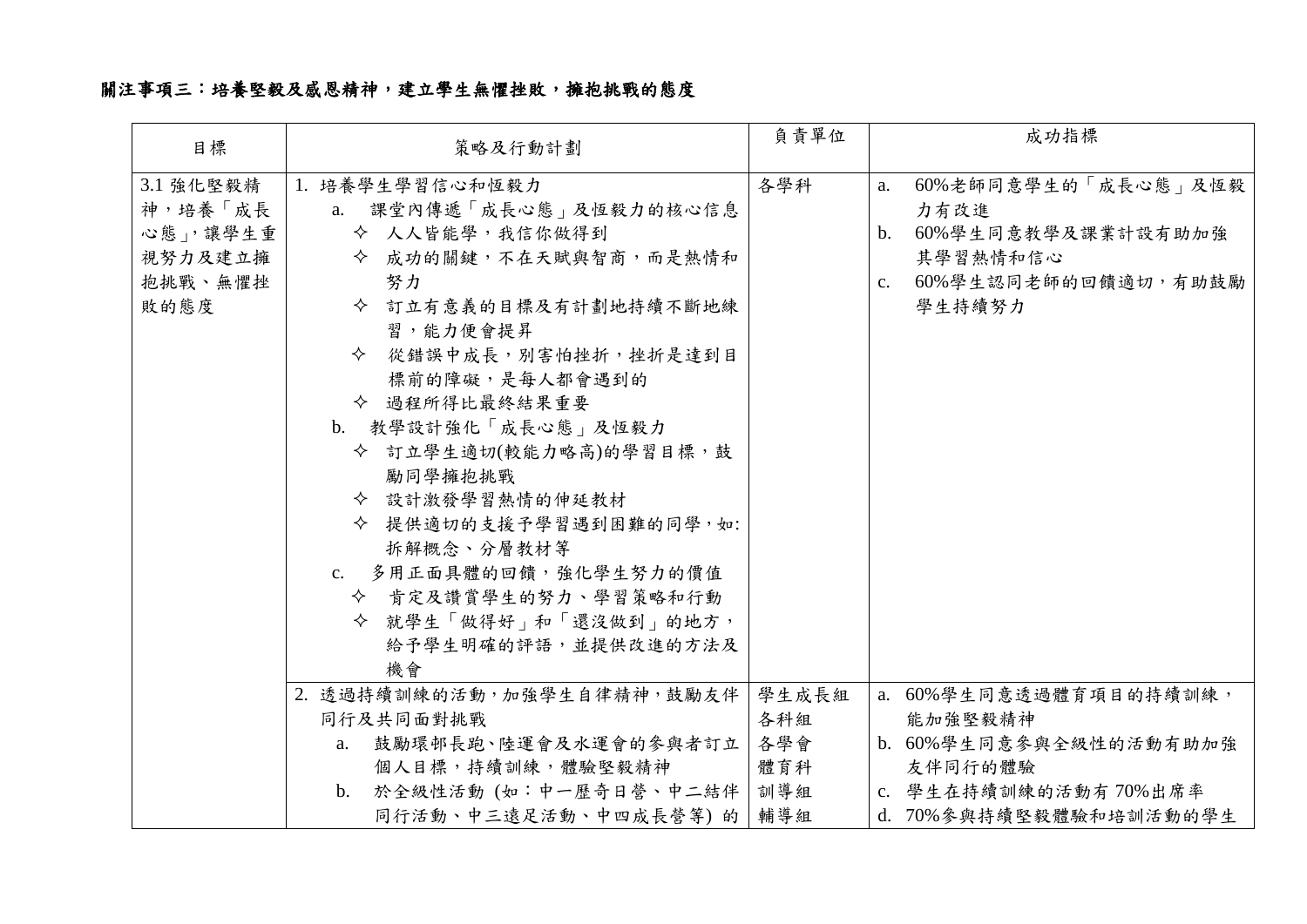# 關注事項三:培養堅毅及感恩精神,建立學生無懼挫敗,擁抱挑戰的態度

| 目標                                                             | 策略及行動計劃                                                                                                                                                                                                                                                                                                                                                                                                                     | 負責單位         | 成功指標                                                                                                                                    |  |
|----------------------------------------------------------------|-----------------------------------------------------------------------------------------------------------------------------------------------------------------------------------------------------------------------------------------------------------------------------------------------------------------------------------------------------------------------------------------------------------------------------|--------------|-----------------------------------------------------------------------------------------------------------------------------------------|--|
| 3.1 強化堅毅精<br>神,培養「成長<br>心態」,讓學生重<br>視努力及建立擁<br>抱挑戰、無懼挫<br>敗的態度 | 1. 培養學生學習信心和恆毅力<br>a. 課堂內傳遞「成長心態」及恆毅力的核心信息<br>◆ 人人皆能學,我信你做得到<br>◆ 成功的關鍵,不在天賦與智商,而是熱情和<br>努力<br>◆ 訂立有意義的目標及有計劃地持續不斷地練<br>習,能力便會提昇<br>◆ 從錯誤中成長,別害怕挫折,挫折是達到目<br>標前的障礙,是每人都會遇到的<br>◆ 過程所得比最終結果重要<br>b. 教學設計強化「成長心態」及恆毅力<br>◆ 訂立學生適切(較能力略高)的學習目標,鼓<br>勵同學擁抱挑戰<br>◆ 設計激發學習熱情的伸延教材<br>◆ 提供適切的支援予學習遇到困難的同學,如:<br>拆解概念、分層教材等<br>c. 多用正面具體的回饋,強化學生努力的價值<br>◆ 肯定及讚賞學生的努力、學習策略和行動<br>◆ 就學生「做得好」和「還沒做到」的地方,<br>給予學生明確的評語,並提供改進的方法及<br>機會 | 各學科          | 60%老師同意學生的「成長心態」及恆毅<br>a.<br>力有改進<br>60%學生同意教學及課業計設有助加強<br>$\mathbf{b}$ .<br>其學習熱情和信心<br>60%學生認同老師的回饋適切,有助鼓勵<br>$C_{\bullet}$<br>學生持續努力 |  |
|                                                                | 2. 透過持續訓練的活動,加強學生自律精神,鼓勵友伴<br>同行及共同面對挑戰                                                                                                                                                                                                                                                                                                                                                                                     | 學生成長組<br>各科組 | a. 60%學生同意透過體育項目的持續訓練,<br>能加強堅毅精神                                                                                                       |  |
|                                                                | 鼓勵環邨長跑、陸運會及水運會的參與者訂立<br>a.                                                                                                                                                                                                                                                                                                                                                                                                  | 各學會          | b. 60%學生同意參與全級性的活動有助加強                                                                                                                  |  |
|                                                                | 個人目標,持續訓練,體驗堅毅精神                                                                                                                                                                                                                                                                                                                                                                                                            | 體育科          | 友伴同行的體驗                                                                                                                                 |  |
|                                                                | b. 於全級性活動 (如:中一歷奇日營、中二結伴                                                                                                                                                                                                                                                                                                                                                                                                    | 訓導組          | c. 學生在持續訓練的活動有70%出席率                                                                                                                    |  |
|                                                                | 同行活動、中三遠足活動、中四成長營等)的                                                                                                                                                                                                                                                                                                                                                                                                        | 輔導組          | d. 70%参與持續堅毅體驗和培訓活動的學生                                                                                                                  |  |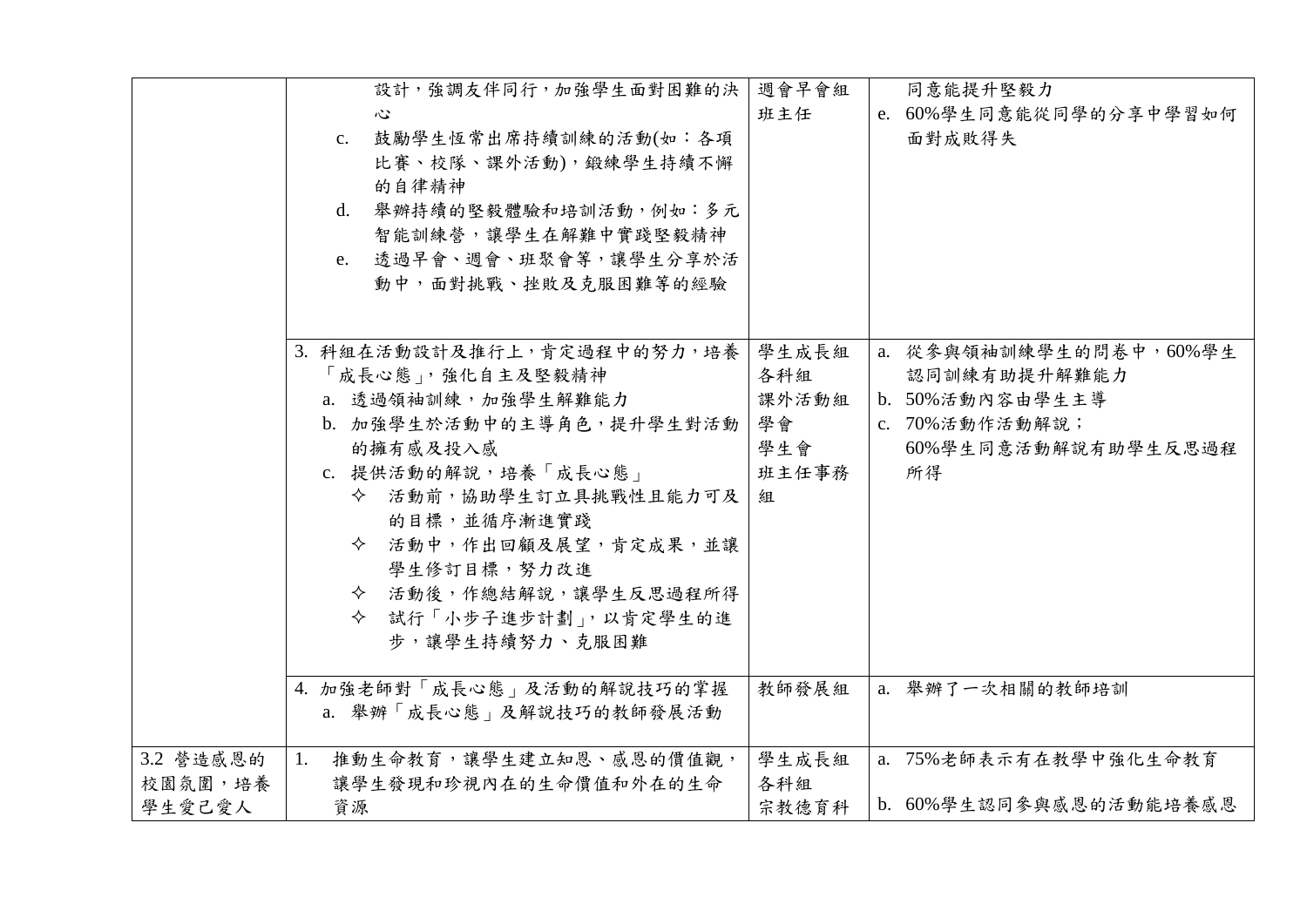|                                  | 設計,強調友伴同行,加強學生面對困難的決<br>心<br>c. 鼓勵學生恆常出席持續訓練的活動(如:各項<br>比賽、校隊、課外活動),鍛練學生持續不懈<br>的自律精神<br>d. 舉辦持續的堅毅體驗和培訓活動,例如:多元<br>智能訓練營,讓學生在解難中實踐堅毅精神<br>e. 透過早會、週會、班聚會等,讓學生分享於活<br>動中,面對挑戰、挫敗及克服困難等的經驗                                                                                                | 週會早會組<br>班主任                                     | 同意能提升堅毅力<br>e. 60%學生同意能從同學的分享中學習如何<br>面對成敗得失                                                              |
|----------------------------------|------------------------------------------------------------------------------------------------------------------------------------------------------------------------------------------------------------------------------------------------------------------------------------------|--------------------------------------------------|-----------------------------------------------------------------------------------------------------------|
|                                  | 3. 科組在活動設計及推行上,肯定過程中的努力,培養<br>「成長心態」, 強化自主及堅毅精神<br>a. 透過領袖訓練,加強學生解難能力<br>b. 加強學生於活動中的主導角色,提升學生對活動<br>的擁有感及投入感<br>c. 提供活動的解說,培養「成長心態」<br>◆ 活動前,協助學生訂立具挑戰性且能力可及<br>的目標,並循序漸進實踐<br>◆ 活動中,作出回顧及展望,肯定成果,並讓<br>學生修訂目標,努力改進<br>◆ 活動後,作總結解說,讓學生反思過程所得<br>◆ 試行「小步子進步計劃」,以肯定學生的進<br>步,讓學生持續努力、克服困難 | 學生成長組<br>各科組<br>課外活動組<br>學會<br>學生會<br>班主任事務<br>組 | a. 從參與領袖訓練學生的問卷中, 60%學生<br>認同訓練有助提升解難能力<br>b. 50%活動內容由學生主導<br>c. 70%活動作活動解說;<br>60%學生同意活動解說有助學生反思過程<br>所得 |
|                                  | 4. 加強老師對「成長心態」及活動的解說技巧的掌握<br>a. 舉辦「成長心態」及解說技巧的教師發展活動                                                                                                                                                                                                                                     | 教師發展組                                            | a. 舉辦了一次相關的教師培訓                                                                                           |
| 3.2 營造感恩的<br>校園氛圍,培養<br>  學生愛己愛人 | 推動生命教育,讓學生建立知恩、感恩的價值觀,<br>1.<br>讓學生發現和珍視內在的生命價值和外在的生命<br>資源                                                                                                                                                                                                                              | 學生成長組<br>各科組<br>宗教德育科                            | a. 75%老師表示有在教學中強化生命教育<br>b. 60%學生認同參與感恩的活動能培養感恩                                                           |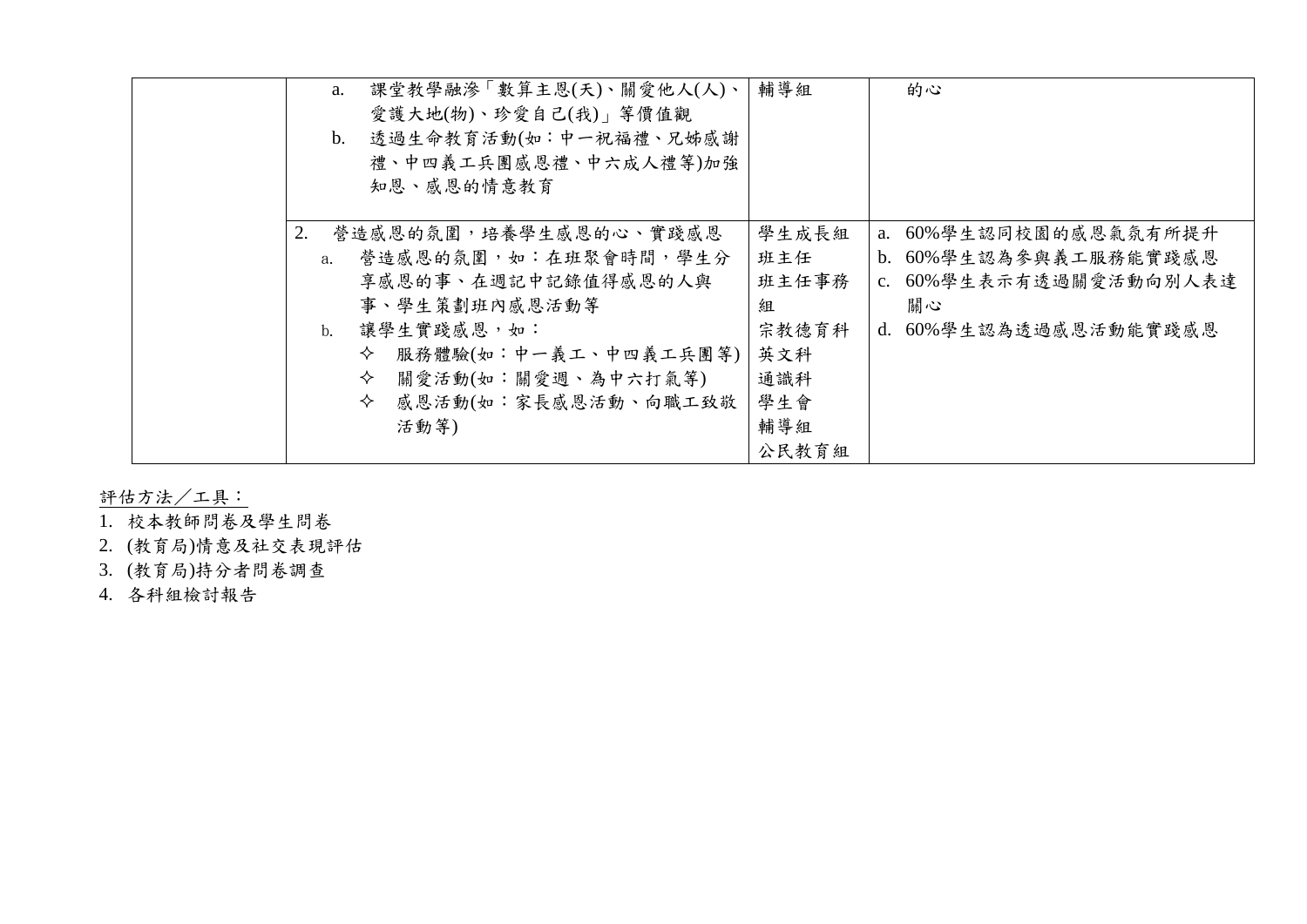| 課堂教學融滲「數算主恩(天)、關愛他人(人)、<br>a.<br>愛護大地(物)、珍愛自己(我)」等價值觀<br>透過生命教育活動(如:中一祝福禮、兄姊感謝<br>b.<br>禮、中四義工兵團感恩禮、中六成人禮等)加強<br>知恩、感恩的情意教育                                                                                                            | 輔導組<br>的心                                                                                                                                                                           |
|----------------------------------------------------------------------------------------------------------------------------------------------------------------------------------------------------------------------------------------|-------------------------------------------------------------------------------------------------------------------------------------------------------------------------------------|
| 2.<br>營造感恩的氛圍,培養學生感恩的心、實踐感恩<br>營造感恩的氛圍,如:在班聚會時間,學生分<br>a <sub>1</sub><br>享感恩的事、在週記中記錄值得感恩的人與<br>事、學生策劃班內感恩活動等<br>讓學生實踐感恩,如:<br>$h_{\cdot}$<br>服務體驗(如:中一義工、中四義工兵團等)<br>✧<br>關愛活動(如:關愛週、為中六打氣等)<br>✧<br>感恩活動(如:家長感恩活動、向職工致敬<br>✧<br>活動等) | 學生成長組<br>a. 60%學生認同校園的感恩氣氛有所提升<br>b. 60%學生認為參與義工服務能實踐感恩<br>班主任<br>班主任事務<br>c. 60%學生表示有透過關愛活動向別人表達<br>關心<br>組<br>宗教德育科<br>d. 60%學生認為透過感恩活動能實踐感恩<br>英文科<br>通識科<br>學生會<br>輔導組<br>公民教育組 |

評估方法/工具:

- 1. 校本教師問卷及學生問卷
- 2. (教育局)情意及社交表現評估
- 3. (教育局)持分者問卷調查
- 4. 各科組檢討報告